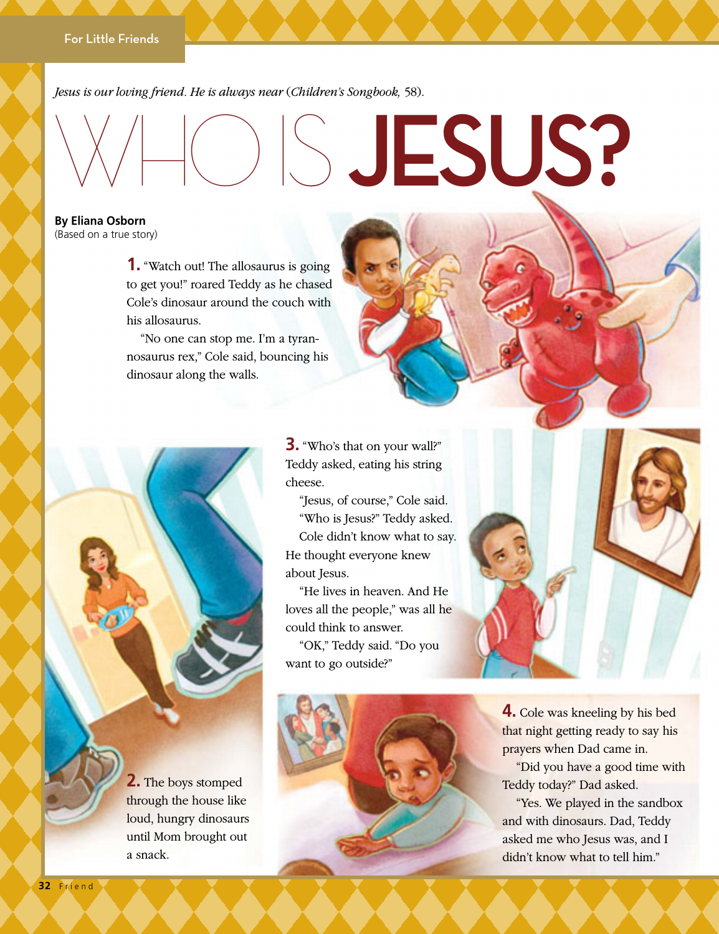*"Jesus is our loving friend. He is always near" (*Children's Songbook, *58). Jesus is our loving friend. He is always near* (*Children's Songbook,* 58).

## $\bigcirc$  JESUS?

**By Eliana Osborn** (Based on a true story)

> **1.** "Watch out! The allosaurus is going to get you!" roared Teddy as he chased Cole's dinosaur around the couch with his allosaurus.

"No one can stop me. I'm a tyrannosaurus rex," Cole said, bouncing his dinosaur along the walls.

> **3.** "Who's that on your wall?" Teddy asked, eating his string cheese.

"Jesus, of course," Cole said. "Who is Jesus?" Teddy asked. Cole didn't know what to say. He thought everyone knew about Jesus.

"He lives in heaven. And He loves all the people," was all he could think to answer.

"OK," Teddy said. "Do you want to go outside?"



**4.** Cole was kneeling by his bed that night getting ready to say his prayers when Dad came in.

"Did you have a good time with Teddy today?" Dad asked.

"Yes. We played in the sandbox and with dinosaurs. Dad, Teddy asked me who Jesus was, and I didn't know what to tell him."

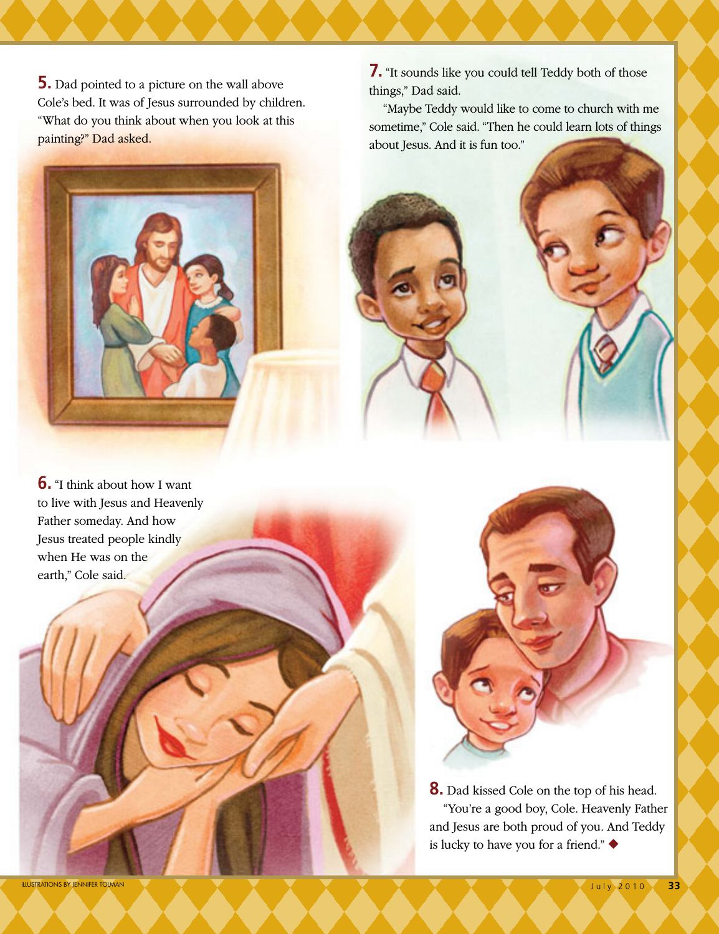**5.** Dad pointed to a picture on the wall above Cole's bed. It was of Jesus surrounded by children. "What do you think about when you look at this painting?" Dad asked.



**6.** "I think about how I want to live with Jesus and Heavenly Father someday. And how Jesus treated people kindly when He was on the earth," Cole said.

**7.** "It sounds like you could tell Teddy both of those things," Dad said.

"Maybe Teddy would like to come to church with me sometime," Cole said. "Then he could learn lots of things about Jesus. And it is fun too."



**8.** Dad kissed Cole on the top of his head. "You're a good boy, Cole. Heavenly Father and Jesus are both proud of you. And Teddy is lucky to have you for a friend." ◆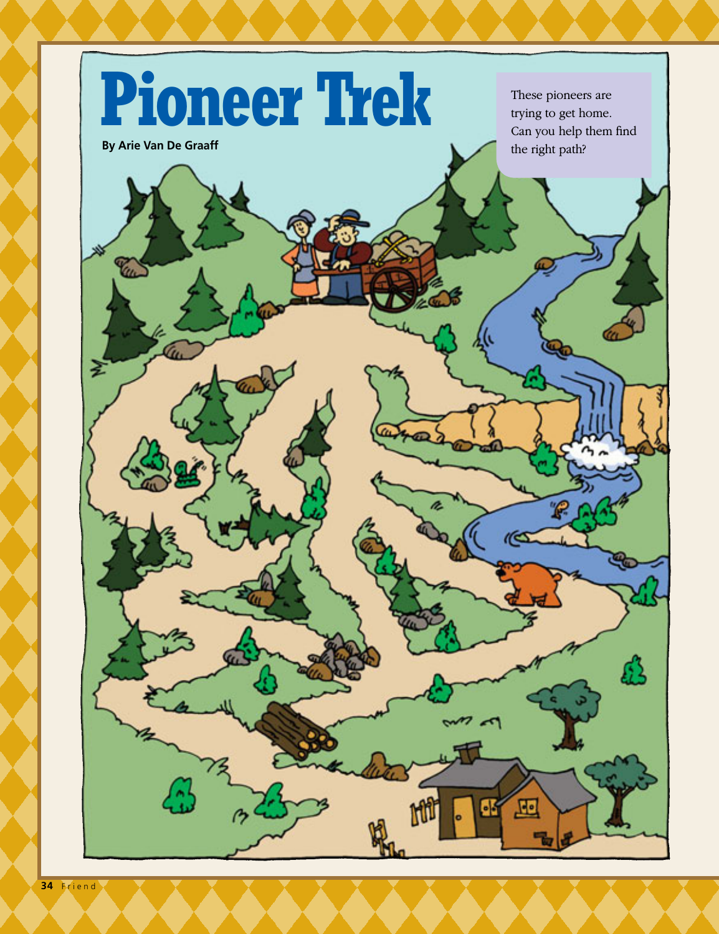